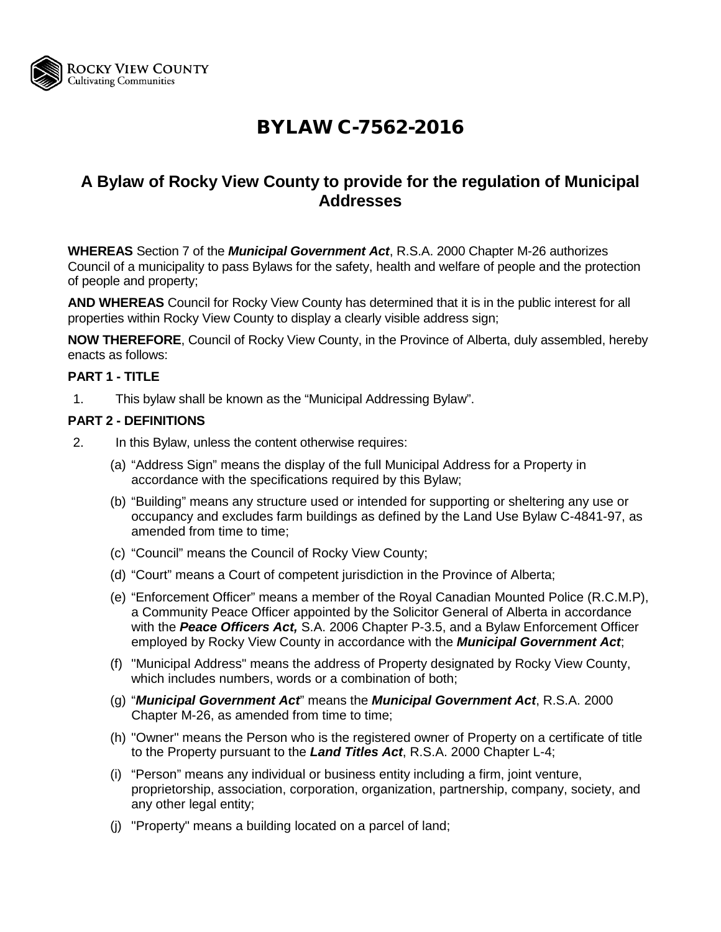

# BYLAW C-7562-2016

### **A Bylaw of Rocky View County to provide for the regulation of Municipal Addresses**

**WHEREAS** Section 7 of the *Municipal Government Act*, R.S.A. 2000 Chapter M-26 authorizes Council of a municipality to pass Bylaws for the safety, health and welfare of people and the protection of people and property;

**AND WHEREAS** Council for Rocky View County has determined that it is in the public interest for all properties within Rocky View County to display a clearly visible address sign;

**NOW THEREFORE**, Council of Rocky View County, in the Province of Alberta, duly assembled, hereby enacts as follows:

#### **PART 1 - TITLE**

1. This bylaw shall be known as the "Municipal Addressing Bylaw".

#### **PART 2 - DEFINITIONS**

- 2. In this Bylaw, unless the content otherwise requires:
	- (a) "Address Sign" means the display of the full Municipal Address for a Property in accordance with the specifications required by this Bylaw;
	- (b) "Building" means any structure used or intended for supporting or sheltering any use or occupancy and excludes farm buildings as defined by the Land Use Bylaw C-4841-97, as amended from time to time;
	- (c) "Council" means the Council of Rocky View County;
	- (d) "Court" means a Court of competent jurisdiction in the Province of Alberta;
	- (e) "Enforcement Officer" means a member of the Royal Canadian Mounted Police (R.C.M.P), a Community Peace Officer appointed by the Solicitor General of Alberta in accordance with the *Peace Officers Act,* S.A. 2006 Chapter P-3.5, and a Bylaw Enforcement Officer employed by Rocky View County in accordance with the *Municipal Government Act*;
	- (f) "Municipal Address" means the address of Property designated by Rocky View County, which includes numbers, words or a combination of both;
	- (g) "*Municipal Government Act*" means the *Municipal Government Act*, R.S.A. 2000 Chapter M-26, as amended from time to time;
	- (h) "Owner" means the Person who is the registered owner of Property on a certificate of title to the Property pursuant to the *Land Titles Act*, R.S.A. 2000 Chapter L-4;
	- (i) "Person" means any individual or business entity including a firm, joint venture, proprietorship, association, corporation, organization, partnership, company, society, and any other legal entity;
	- (j) "Property" means a building located on a parcel of land;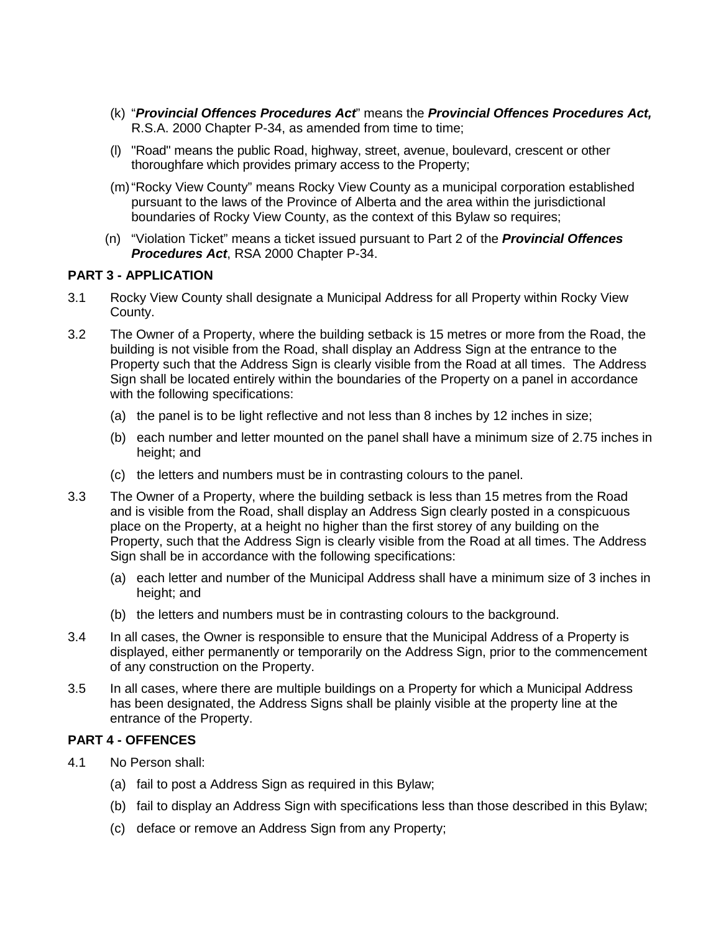- (k) "*Provincial Offences Procedures Act*" means the *Provincial Offences Procedures Act,* R.S.A. 2000 Chapter P-34, as amended from time to time;
- (l) "Road" means the public Road, highway, street, avenue, boulevard, crescent or other thoroughfare which provides primary access to the Property;
- (m)"Rocky View County" means Rocky View County as a municipal corporation established pursuant to the laws of the Province of Alberta and the area within the jurisdictional boundaries of Rocky View County, as the context of this Bylaw so requires;
- (n) "Violation Ticket" means a ticket issued pursuant to Part 2 of the *Provincial Offences Procedures Act*, RSA 2000 Chapter P-34.

#### **PART 3 - APPLICATION**

- 3.1 Rocky View County shall designate a Municipal Address for all Property within Rocky View County.
- 3.2 The Owner of a Property, where the building setback is 15 metres or more from the Road, the building is not visible from the Road, shall display an Address Sign at the entrance to the Property such that the Address Sign is clearly visible from the Road at all times. The Address Sign shall be located entirely within the boundaries of the Property on a panel in accordance with the following specifications:
	- (a) the panel is to be light reflective and not less than 8 inches by 12 inches in size;
	- (b) each number and letter mounted on the panel shall have a minimum size of 2.75 inches in height; and
	- (c) the letters and numbers must be in contrasting colours to the panel.
- 3.3 The Owner of a Property, where the building setback is less than 15 metres from the Road and is visible from the Road, shall display an Address Sign clearly posted in a conspicuous place on the Property, at a height no higher than the first storey of any building on the Property, such that the Address Sign is clearly visible from the Road at all times. The Address Sign shall be in accordance with the following specifications:
	- (a) each letter and number of the Municipal Address shall have a minimum size of 3 inches in height; and
	- (b) the letters and numbers must be in contrasting colours to the background.
- 3.4 In all cases, the Owner is responsible to ensure that the Municipal Address of a Property is displayed, either permanently or temporarily on the Address Sign, prior to the commencement of any construction on the Property.
- 3.5 In all cases, where there are multiple buildings on a Property for which a Municipal Address has been designated, the Address Signs shall be plainly visible at the property line at the entrance of the Property.

#### **PART 4 - OFFENCES**

- 4.1 No Person shall:
	- (a) fail to post a Address Sign as required in this Bylaw;
	- (b) fail to display an Address Sign with specifications less than those described in this Bylaw;
	- (c) deface or remove an Address Sign from any Property;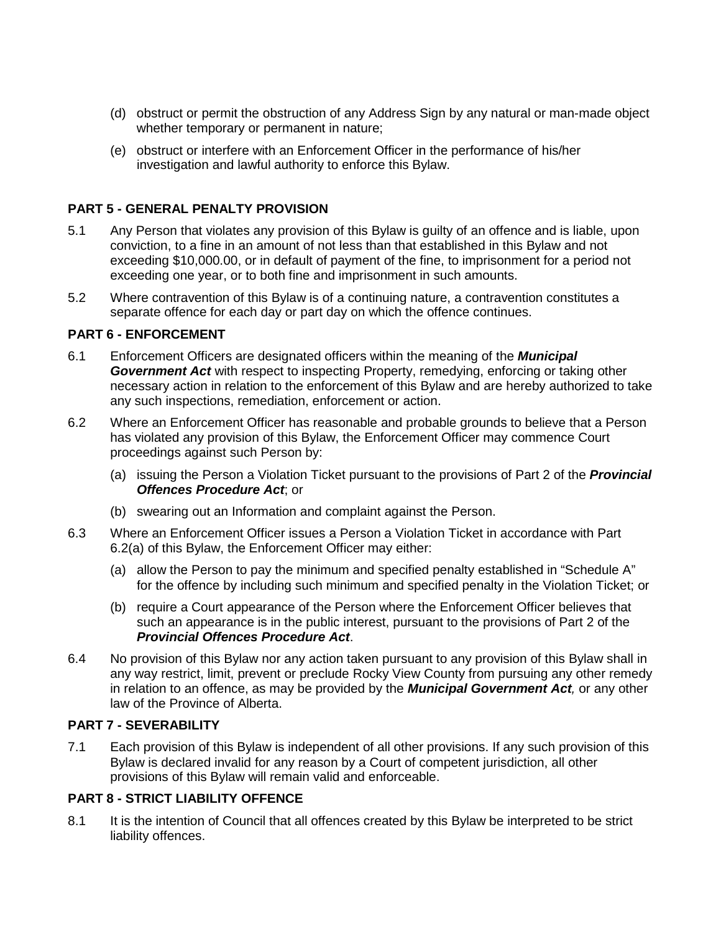- (d) obstruct or permit the obstruction of any Address Sign by any natural or man-made object whether temporary or permanent in nature;
- (e) obstruct or interfere with an Enforcement Officer in the performance of his/her investigation and lawful authority to enforce this Bylaw.

#### **PART 5 - GENERAL PENALTY PROVISION**

- 5.1 Any Person that violates any provision of this Bylaw is guilty of an offence and is liable, upon conviction, to a fine in an amount of not less than that established in this Bylaw and not exceeding \$10,000.00, or in default of payment of the fine, to imprisonment for a period not exceeding one year, or to both fine and imprisonment in such amounts.
- 5.2 Where contravention of this Bylaw is of a continuing nature, a contravention constitutes a separate offence for each day or part day on which the offence continues.

#### **PART 6 - ENFORCEMENT**

- 6.1 Enforcement Officers are designated officers within the meaning of the *Municipal Government Act* with respect to inspecting Property, remedying, enforcing or taking other necessary action in relation to the enforcement of this Bylaw and are hereby authorized to take any such inspections, remediation, enforcement or action.
- 6.2 Where an Enforcement Officer has reasonable and probable grounds to believe that a Person has violated any provision of this Bylaw, the Enforcement Officer may commence Court proceedings against such Person by:
	- (a) issuing the Person a Violation Ticket pursuant to the provisions of Part 2 of the *Provincial Offences Procedure Act*; or
	- (b) swearing out an Information and complaint against the Person.
- 6.3 Where an Enforcement Officer issues a Person a Violation Ticket in accordance with Part 6.2(a) of this Bylaw, the Enforcement Officer may either:
	- (a) allow the Person to pay the minimum and specified penalty established in "Schedule A" for the offence by including such minimum and specified penalty in the Violation Ticket; or
	- (b) require a Court appearance of the Person where the Enforcement Officer believes that such an appearance is in the public interest, pursuant to the provisions of Part 2 of the *Provincial Offences Procedure Act*.
- 6.4 No provision of this Bylaw nor any action taken pursuant to any provision of this Bylaw shall in any way restrict, limit, prevent or preclude Rocky View County from pursuing any other remedy in relation to an offence, as may be provided by the *Municipal Government Act,* or any other law of the Province of Alberta.

#### **PART 7 - SEVERABILITY**

7.1 Each provision of this Bylaw is independent of all other provisions. If any such provision of this Bylaw is declared invalid for any reason by a Court of competent jurisdiction, all other provisions of this Bylaw will remain valid and enforceable.

#### **PART 8 - STRICT LIABILITY OFFENCE**

8.1 It is the intention of Council that all offences created by this Bylaw be interpreted to be strict liability offences.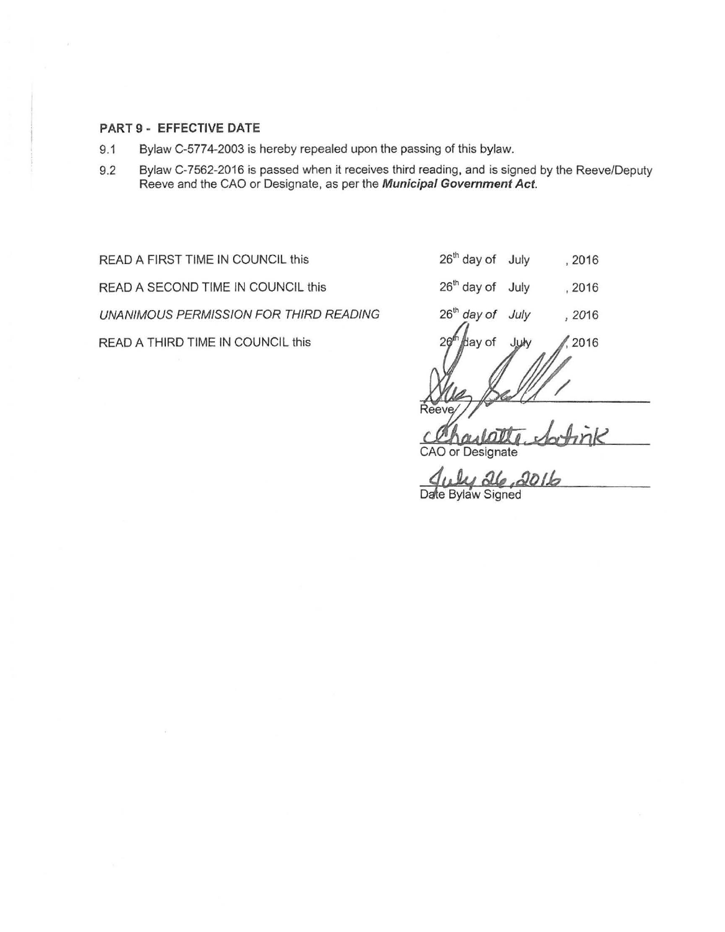#### **PART 9- EFFECTIVE DATE**

- 9.1 Bylaw C-5774-2003 is hereby repealed upon the passing of this bylaw.
- 9.2 Bylaw C-7562-2016 is passed when it receives third reading, and is signed by the Reeve/Deputy Reeve and the CAO or Designate, as per the **Municipal Government Act.**

READ A FIRST TIME IN COUNCIL this READ A SECOND TIME IN COUNCIL this UNANIMOUS PERMISSION FOR THIRD READING READ A THIRD TIME IN COUNCIL this

| 26 <sup>th</sup> day of July | , 2016 |
|------------------------------|--------|
|                              |        |

 $26<sup>th</sup>$  day of July 12016

 $26<sup>th</sup>$  day of July '2016

lay of 2016

CAO or Designate

Date Bylaw Signed